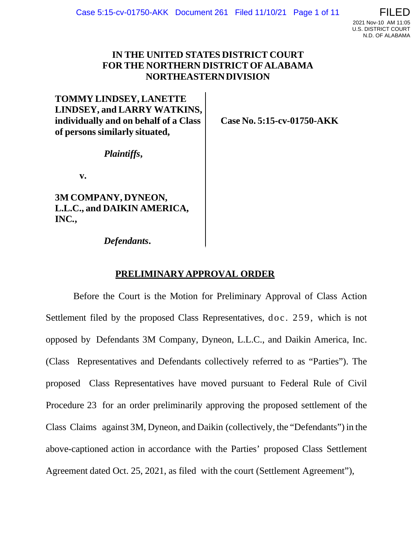# **IN THE UNITED STATES DISTRICT COURT FOR THE NORTHERN DISTRICT OFALABAMA NORTHEASTERNDIVISION**

**TOMMY LINDSEY, LANETTE LINDSEY, and LARRY WATKINS, individually and on behalf of a Class of persons similarly situated,**

**Case No. 5:15-cv-01750-AKK**

*Plaintiffs***,**

**v.**

**3M COMPANY, DYNEON, L.L.C., and DAIKIN AMERICA, INC***.***,**

*Defendants***.**

# **PRELIMINARYAPPROVAL ORDER**

Before the Court is the Motion for Preliminary Approval of Class Action Settlement filed by the proposed Class Representatives, doc. 259, which is not opposed by Defendants 3M Company, Dyneon, L.L.C., and Daikin America, Inc. (Class Representatives and Defendants collectively referred to as "Parties"). The proposed Class Representatives have moved pursuant to Federal Rule of Civil Procedure 23 for an order preliminarily approving the proposed settlement of the Class Claims against 3M, Dyneon, and Daikin (collectively, the "Defendants") in the above-captioned action in accordance with the Parties' proposed Class Settlement Agreement dated Oct. 25, 2021, as filed with the court (Settlement Agreement"),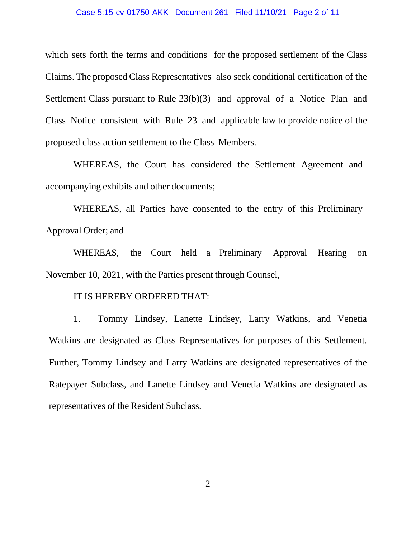## Case 5:15-cv-01750-AKK Document 261 Filed 11/10/21 Page 2 of 11

which sets forth the terms and conditions for the proposed settlement of the Class Claims. The proposed Class Representatives also seek conditional certification of the Settlement Class pursuant to Rule 23(b)(3) and approval of a Notice Plan and Class Notice consistent with Rule 23 and applicable law to provide notice of the proposed class action settlement to the Class Members.

WHEREAS, the Court has considered the Settlement Agreement and accompanying exhibits and other documents;

WHEREAS, all Parties have consented to the entry of this Preliminary Approval Order; and

WHEREAS, the Court held a Preliminary Approval Hearing on November 10, 2021, with the Parties present through Counsel,

# IT IS HEREBY ORDERED THAT:

1. Tommy Lindsey, Lanette Lindsey, Larry Watkins, and Venetia Watkins are designated as Class Representatives for purposes of this Settlement. Further, Tommy Lindsey and Larry Watkins are designated representatives of the Ratepayer Subclass, and Lanette Lindsey and Venetia Watkins are designated as representatives of the Resident Subclass.

2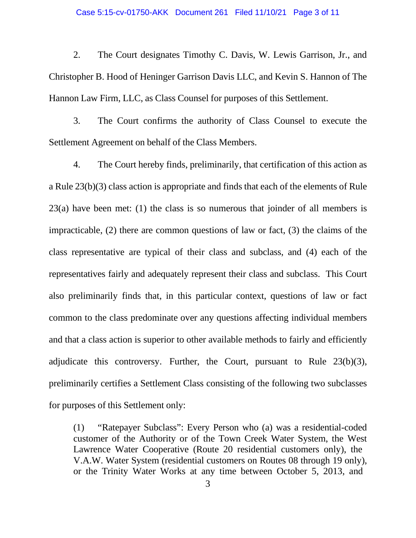#### Case 5:15-cv-01750-AKK Document 261 Filed 11/10/21 Page 3 of 11

2. The Court designates Timothy C. Davis, W. Lewis Garrison, Jr., and Christopher B. Hood of Heninger Garrison Davis LLC, and Kevin S. Hannon of The Hannon Law Firm, LLC, as Class Counsel for purposes of this Settlement.

3. The Court confirms the authority of Class Counsel to execute the Settlement Agreement on behalf of the Class Members.

4. The Court hereby finds, preliminarily, that certification of this action as a Rule 23(b)(3) class action is appropriate and finds that each of the elements of Rule 23(a) have been met: (1) the class is so numerous that joinder of all members is impracticable, (2) there are common questions of law or fact, (3) the claims of the class representative are typical of their class and subclass, and (4) each of the representatives fairly and adequately represent their class and subclass. This Court also preliminarily finds that, in this particular context, questions of law or fact common to the class predominate over any questions affecting individual members and that a class action is superior to other available methods to fairly and efficiently adjudicate this controversy. Further, the Court, pursuant to Rule 23(b)(3), preliminarily certifies a Settlement Class consisting of the following two subclasses for purposes of this Settlement only:

(1) "Ratepayer Subclass": Every Person who (a) was a residential-coded customer of the Authority or of the Town Creek Water System, the West Lawrence Water Cooperative (Route 20 residential customers only), the V.A.W. Water System (residential customers on Routes 08 through 19 only), or the Trinity Water Works at any time between October 5, 2013, and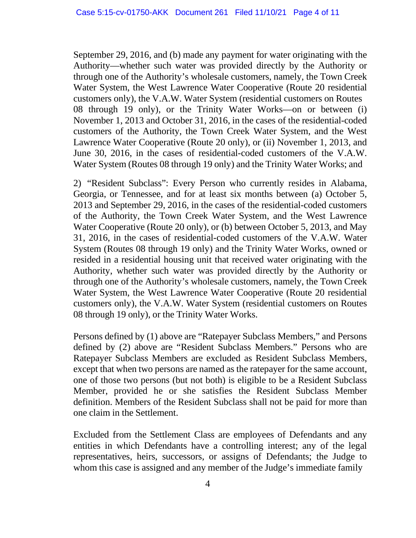September 29, 2016, and (b) made any payment for water originating with the Authority—whether such water was provided directly by the Authority or through one of the Authority's wholesale customers, namely, the Town Creek Water System, the West Lawrence Water Cooperative (Route 20 residential customers only), the V.A.W. Water System (residential customers on Routes 08 through 19 only), or the Trinity Water Works—on or between (i) November 1, 2013 and October 31, 2016, in the cases of the residential-coded customers of the Authority, the Town Creek Water System, and the West Lawrence Water Cooperative (Route 20 only), or (ii) November 1, 2013, and June 30, 2016, in the cases of residential-coded customers of the V.A.W. Water System (Routes 08 through 19 only) and the Trinity Water Works; and

2) "Resident Subclass": Every Person who currently resides in Alabama, Georgia, or Tennessee, and for at least six months between (a) October 5, 2013 and September 29, 2016, in the cases of the residential-coded customers of the Authority, the Town Creek Water System, and the West Lawrence Water Cooperative (Route 20 only), or (b) between October 5, 2013, and May 31, 2016, in the cases of residential-coded customers of the V.A.W. Water System (Routes 08 through 19 only) and the Trinity Water Works, owned or resided in a residential housing unit that received water originating with the Authority, whether such water was provided directly by the Authority or through one of the Authority's wholesale customers, namely, the Town Creek Water System, the West Lawrence Water Cooperative (Route 20 residential customers only), the V.A.W. Water System (residential customers on Routes 08 through 19 only), or the Trinity Water Works.

Persons defined by (1) above are "Ratepayer Subclass Members," and Persons defined by (2) above are "Resident Subclass Members." Persons who are Ratepayer Subclass Members are excluded as Resident Subclass Members, except that when two persons are named as the ratepayer for the same account, one of those two persons (but not both) is eligible to be a Resident Subclass Member, provided he or she satisfies the Resident Subclass Member definition. Members of the Resident Subclass shall not be paid for more than one claim in the Settlement.

Excluded from the Settlement Class are employees of Defendants and any entities in which Defendants have a controlling interest; any of the legal representatives, heirs, successors, or assigns of Defendants; the Judge to whom this case is assigned and any member of the Judge's immediate family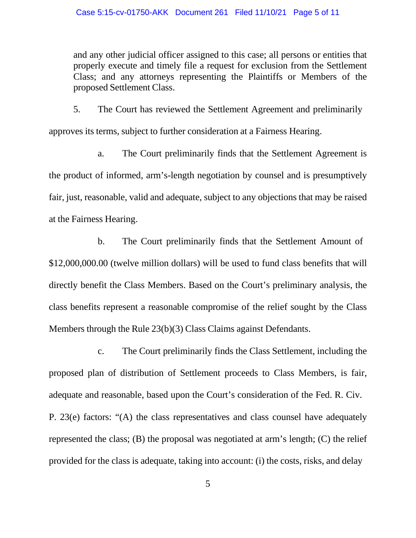and any other judicial officer assigned to this case; all persons or entities that properly execute and timely file a request for exclusion from the Settlement Class; and any attorneys representing the Plaintiffs or Members of the proposed Settlement Class.

5. The Court has reviewed the Settlement Agreement and preliminarily approves its terms, subject to further consideration at a Fairness Hearing.

a. The Court preliminarily finds that the Settlement Agreement is the product of informed, arm's-length negotiation by counsel and is presumptively fair, just, reasonable, valid and adequate, subject to any objections that may be raised at the Fairness Hearing.

b. The Court preliminarily finds that the Settlement Amount of \$12,000,000.00 (twelve million dollars) will be used to fund class benefits that will directly benefit the Class Members. Based on the Court's preliminary analysis, the class benefits represent a reasonable compromise of the relief sought by the Class Members through the Rule 23(b)(3) Class Claims against Defendants.

c. The Court preliminarily finds the Class Settlement, including the proposed plan of distribution of Settlement proceeds to Class Members, is fair, adequate and reasonable, based upon the Court's consideration of the Fed. R. Civ. P. 23(e) factors: "(A) the class representatives and class counsel have adequately represented the class; (B) the proposal was negotiated at arm's length; (C) the relief provided for the class is adequate, taking into account: (i) the costs, risks, and delay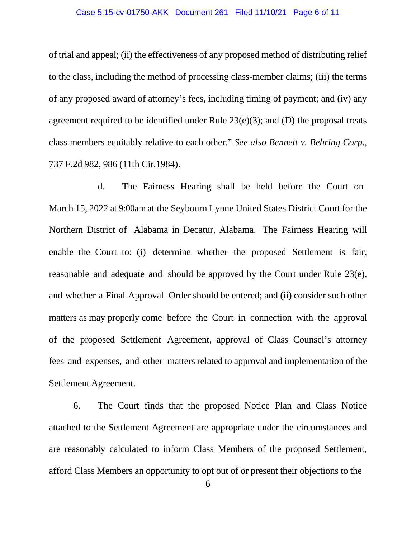#### Case 5:15-cv-01750-AKK Document 261 Filed 11/10/21 Page 6 of 11

of trial and appeal; (ii) the effectiveness of any proposed method of distributing relief to the class, including the method of processing class-member claims; (iii) the terms of any proposed award of attorney's fees, including timing of payment; and (iv) any agreement required to be identified under Rule  $23(e)(3)$ ; and (D) the proposal treats class members equitably relative to each other." *See also Bennett v. Behring Corp*., 737 F.2d 982, 986 (11th Cir.1984).

d. The Fairness Hearing shall be held before the Court on March 15, 2022 at 9:00am at the Seybourn Lynne United States District Court for the Northern District of Alabama in Decatur, Alabama. The Fairness Hearing will enable the Court to: (i) determine whether the proposed Settlement is fair, reasonable and adequate and should be approved by the Court under Rule 23(e), and whether a Final Approval Order should be entered; and (ii) consider such other matters as may properly come before the Court in connection with the approval of the proposed Settlement Agreement, approval of Class Counsel's attorney fees and expenses, and other matters related to approval and implementation of the Settlement Agreement.

6. The Court finds that the proposed Notice Plan and Class Notice attached to the Settlement Agreement are appropriate under the circumstances and are reasonably calculated to inform Class Members of the proposed Settlement, afford Class Members an opportunity to opt out of or present their objections to the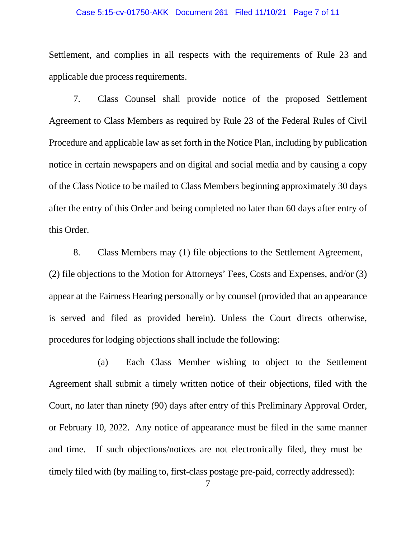## Case 5:15-cv-01750-AKK Document 261 Filed 11/10/21 Page 7 of 11

Settlement, and complies in all respects with the requirements of Rule 23 and applicable due process requirements.

7. Class Counsel shall provide notice of the proposed Settlement Agreement to Class Members as required by Rule 23 of the Federal Rules of Civil Procedure and applicable law as set forth in the Notice Plan, including by publication notice in certain newspapers and on digital and social media and by causing a copy of the Class Notice to be mailed to Class Members beginning approximately 30 days after the entry of this Order and being completed no later than 60 days after entry of this Order.

8. Class Members may (1) file objections to the Settlement Agreement, (2) file objections to the Motion for Attorneys' Fees, Costs and Expenses, and/or (3) appear at the Fairness Hearing personally or by counsel (provided that an appearance is served and filed as provided herein). Unless the Court directs otherwise, procedures for lodging objections shall include the following:

(a) Each Class Member wishing to object to the Settlement Agreement shall submit a timely written notice of their objections, filed with the Court, no later than ninety (90) days after entry of this Preliminary Approval Order, or February 10, 2022. Any notice of appearance must be filed in the same manner and time. If such objections/notices are not electronically filed, they must be timely filed with (by mailing to, first-class postage pre-paid, correctly addressed):

7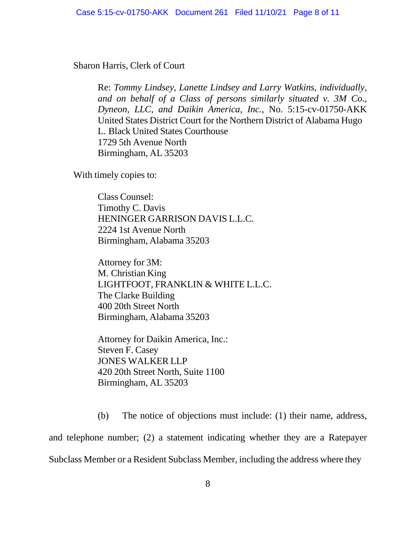Sharon Harris, Clerk of Court

Re: *Tommy Lindsey, Lanette Lindsey and Larry Watkins, individually, and on behalf of a Class of persons similarly situated v. 3M Co., Dyneon, LLC, and Daikin America, Inc.*, No. 5:15-cv-01750-AKK United States District Court for the Northern District of Alabama Hugo L. Black United States Courthouse 1729 5th Avenue North Birmingham, AL 35203

With timely copies to:

Class Counsel: Timothy C. Davis HENINGER GARRISON DAVIS L.L.C. 2224 1st Avenue North Birmingham, Alabama 35203

Attorney for 3M: M. Christian King LIGHTFOOT, FRANKLIN & WHITE L.L.C. The Clarke Building 400 20th Street North Birmingham, Alabama 35203

Attorney for Daikin America, Inc.: Steven F. Casey JONES WALKER LLP 420 20th Street North, Suite 1100 Birmingham, AL 35203

(b) The notice of objections must include: (1) their name, address, and telephone number; (2) a statement indicating whether they are a Ratepayer Subclass Member or a Resident Subclass Member, including the address where they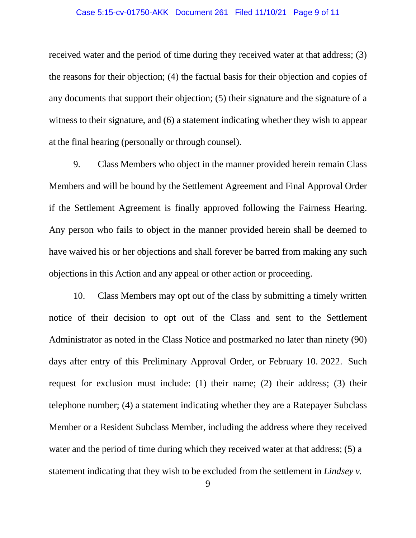## Case 5:15-cv-01750-AKK Document 261 Filed 11/10/21 Page 9 of 11

received water and the period of time during they received water at that address; (3) the reasons for their objection; (4) the factual basis for their objection and copies of any documents that support their objection; (5) their signature and the signature of a witness to their signature, and (6) a statement indicating whether they wish to appear at the final hearing (personally or through counsel).

9. Class Members who object in the manner provided herein remain Class Members and will be bound by the Settlement Agreement and Final Approval Order if the Settlement Agreement is finally approved following the Fairness Hearing. Any person who fails to object in the manner provided herein shall be deemed to have waived his or her objections and shall forever be barred from making any such objections in this Action and any appeal or other action or proceeding.

10. Class Members may opt out of the class by submitting a timely written notice of their decision to opt out of the Class and sent to the Settlement Administrator as noted in the Class Notice and postmarked no later than ninety (90) days after entry of this Preliminary Approval Order, or February 10. 2022. Such request for exclusion must include: (1) their name; (2) their address; (3) their telephone number; (4) a statement indicating whether they are a Ratepayer Subclass Member or a Resident Subclass Member, including the address where they received water and the period of time during which they received water at that address; (5) a statement indicating that they wish to be excluded from the settlement in *Lindsey v.*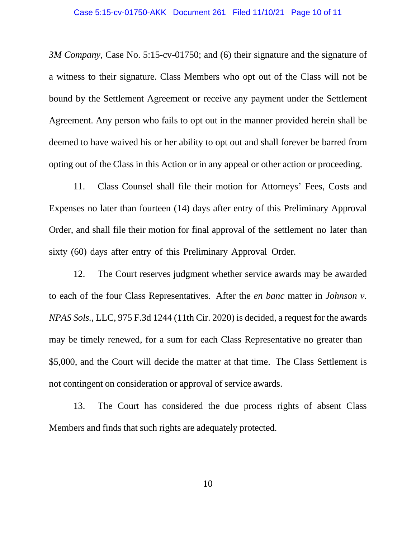*3M Company*, Case No. 5:15-cv-01750; and (6) their signature and the signature of a witness to their signature. Class Members who opt out of the Class will not be bound by the Settlement Agreement or receive any payment under the Settlement Agreement. Any person who fails to opt out in the manner provided herein shall be deemed to have waived his or her ability to opt out and shall forever be barred from opting out of the Class in this Action or in any appeal or other action or proceeding.

11. Class Counsel shall file their motion for Attorneys' Fees, Costs and Expenses no later than fourteen (14) days after entry of this Preliminary Approval Order, and shall file their motion for final approval of the settlement no later than sixty (60) days after entry of this Preliminary Approval Order.

12. The Court reserves judgment whether service awards may be awarded to each of the four Class Representatives. After the *en banc* matter in *Johnson v. NPAS Sols.*, LLC, 975 F.3d 1244 (11th Cir. 2020) is decided, a request for the awards may be timely renewed, for a sum for each Class Representative no greater than \$5,000, and the Court will decide the matter at that time. The Class Settlement is not contingent on consideration or approval of service awards.

13. The Court has considered the due process rights of absent Class Members and finds that such rights are adequately protected.